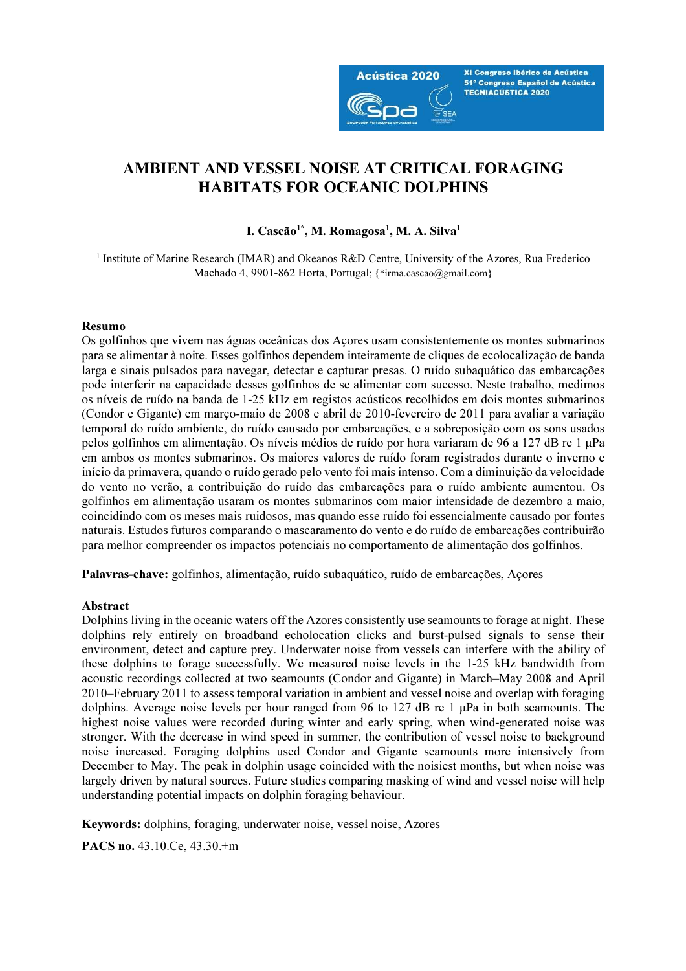

XI Congreso Ibérico de Acústica 51º Congreso Español de Acústica **TECNIACÚSTICA 2020** 

# AMBIENT AND VESSEL NOISE AT CRITICAL FORAGING HABITATS FOR OCEANIC DOLPHINS

### I. Cascão<sup>1\*</sup>, M. Romagosa<sup>1</sup>, M. A. Silva<sup>1</sup>

<sup>1</sup> Institute of Marine Research (IMAR) and Okeanos R&D Centre, University of the Azores, Rua Frederico Machado 4, 9901-862 Horta, Portugal; {\*irma.cascao@gmail.com}

#### Resumo

Os golfinhos que vivem nas águas oceânicas dos Açores usam consistentemente os montes submarinos para se alimentar à noite. Esses golfinhos dependem inteiramente de cliques de ecolocalização de banda larga e sinais pulsados para navegar, detectar e capturar presas. O ruído subaquático das embarcações pode interferir na capacidade desses golfinhos de se alimentar com sucesso. Neste trabalho, medimos os níveis de ruído na banda de 1-25 kHz em registos acústicos recolhidos em dois montes submarinos (Condor e Gigante) em março-maio de 2008 e abril de 2010-fevereiro de 2011 para avaliar a variação temporal do ruído ambiente, do ruído causado por embarcações, e a sobreposição com os sons usados pelos golfinhos em alimentação. Os níveis médios de ruído por hora variaram de 96 a 127 dB re 1 μPa em ambos os montes submarinos. Os maiores valores de ruído foram registrados durante o inverno e início da primavera, quando o ruído gerado pelo vento foi mais intenso. Com a diminuição da velocidade do vento no verão, a contribuição do ruído das embarcações para o ruído ambiente aumentou. Os golfinhos em alimentação usaram os montes submarinos com maior intensidade de dezembro a maio, coincidindo com os meses mais ruidosos, mas quando esse ruído foi essencialmente causado por fontes naturais. Estudos futuros comparando o mascaramento do vento e do ruído de embarcações contribuirão para melhor compreender os impactos potenciais no comportamento de alimentação dos golfinhos.

Palavras-chave: golfinhos, alimentação, ruído subaquático, ruído de embarcações, Açores

#### Abstract

Dolphins living in the oceanic waters off the Azores consistently use seamounts to forage at night. These dolphins rely entirely on broadband echolocation clicks and burst-pulsed signals to sense their environment, detect and capture prey. Underwater noise from vessels can interfere with the ability of these dolphins to forage successfully. We measured noise levels in the 1-25 kHz bandwidth from acoustic recordings collected at two seamounts (Condor and Gigante) in March–May 2008 and April 2010–February 2011 to assess temporal variation in ambient and vessel noise and overlap with foraging dolphins. Average noise levels per hour ranged from 96 to 127 dB re 1 μPa in both seamounts. The highest noise values were recorded during winter and early spring, when wind-generated noise was stronger. With the decrease in wind speed in summer, the contribution of vessel noise to background noise increased. Foraging dolphins used Condor and Gigante seamounts more intensively from December to May. The peak in dolphin usage coincided with the noisiest months, but when noise was largely driven by natural sources. Future studies comparing masking of wind and vessel noise will help understanding potential impacts on dolphin foraging behaviour.

Keywords: dolphins, foraging, underwater noise, vessel noise, Azores

PACS no. 43.10.Ce, 43.30.+m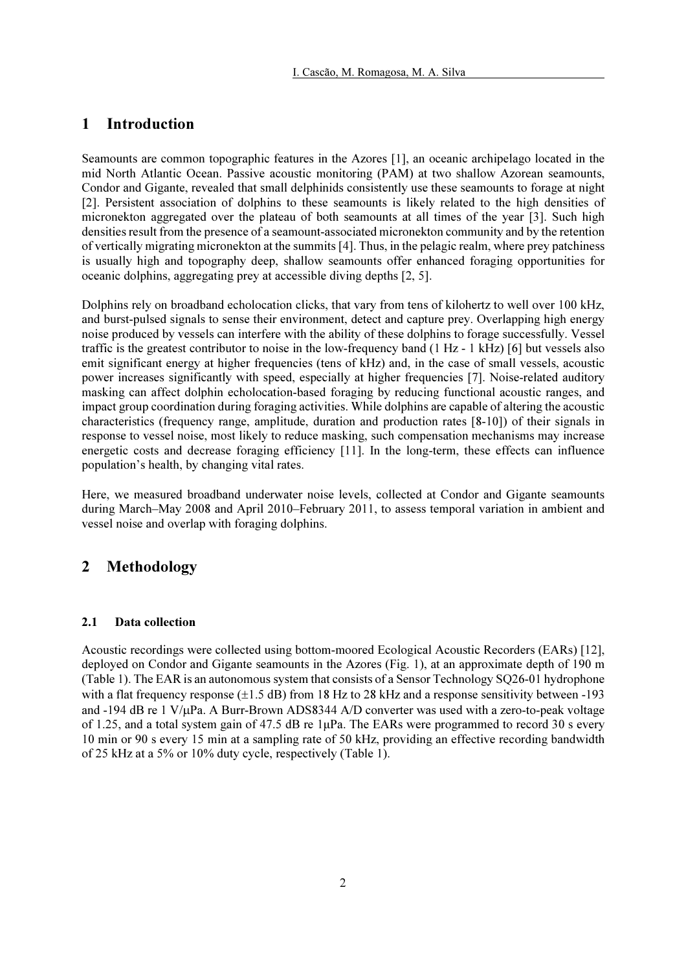# 1 Introduction

Seamounts are common topographic features in the Azores [1], an oceanic archipelago located in the mid North Atlantic Ocean. Passive acoustic monitoring (PAM) at two shallow Azorean seamounts, Condor and Gigante, revealed that small delphinids consistently use these seamounts to forage at night [2]. Persistent association of dolphins to these seamounts is likely related to the high densities of micronekton aggregated over the plateau of both seamounts at all times of the year [3]. Such high densities result from the presence of a seamount-associated micronekton community and by the retention of vertically migrating micronekton at the summits [4]. Thus, in the pelagic realm, where prey patchiness is usually high and topography deep, shallow seamounts offer enhanced foraging opportunities for oceanic dolphins, aggregating prey at accessible diving depths [2, 5].

Dolphins rely on broadband echolocation clicks, that vary from tens of kilohertz to well over 100 kHz, and burst-pulsed signals to sense their environment, detect and capture prey. Overlapping high energy noise produced by vessels can interfere with the ability of these dolphins to forage successfully. Vessel traffic is the greatest contributor to noise in the low-frequency band (1 Hz - 1 kHz) [6] but vessels also emit significant energy at higher frequencies (tens of kHz) and, in the case of small vessels, acoustic power increases significantly with speed, especially at higher frequencies [7]. Noise-related auditory masking can affect dolphin echolocation-based foraging by reducing functional acoustic ranges, and impact group coordination during foraging activities. While dolphins are capable of altering the acoustic characteristics (frequency range, amplitude, duration and production rates [8-10]) of their signals in response to vessel noise, most likely to reduce masking, such compensation mechanisms may increase energetic costs and decrease foraging efficiency [11]. In the long-term, these effects can influence population's health, by changing vital rates.

Here, we measured broadband underwater noise levels, collected at Condor and Gigante seamounts during March–May 2008 and April 2010–February 2011, to assess temporal variation in ambient and vessel noise and overlap with foraging dolphins.

# 2 Methodology

#### 2.1 Data collection

Acoustic recordings were collected using bottom-moored Ecological Acoustic Recorders (EARs) [12], deployed on Condor and Gigante seamounts in the Azores (Fig. 1), at an approximate depth of 190 m (Table 1). The EAR is an autonomous system that consists of a Sensor Technology SQ26-01 hydrophone with a flat frequency response  $(\pm 1.5 \text{ dB})$  from 18 Hz to 28 kHz and a response sensitivity between -193 and -194 dB re 1 V/µPa. A Burr-Brown ADS8344 A/D converter was used with a zero-to-peak voltage of 1.25, and a total system gain of 47.5 dB re 1µPa. The EARs were programmed to record 30 s every 10 min or 90 s every 15 min at a sampling rate of 50 kHz, providing an effective recording bandwidth of 25 kHz at a 5% or 10% duty cycle, respectively (Table 1).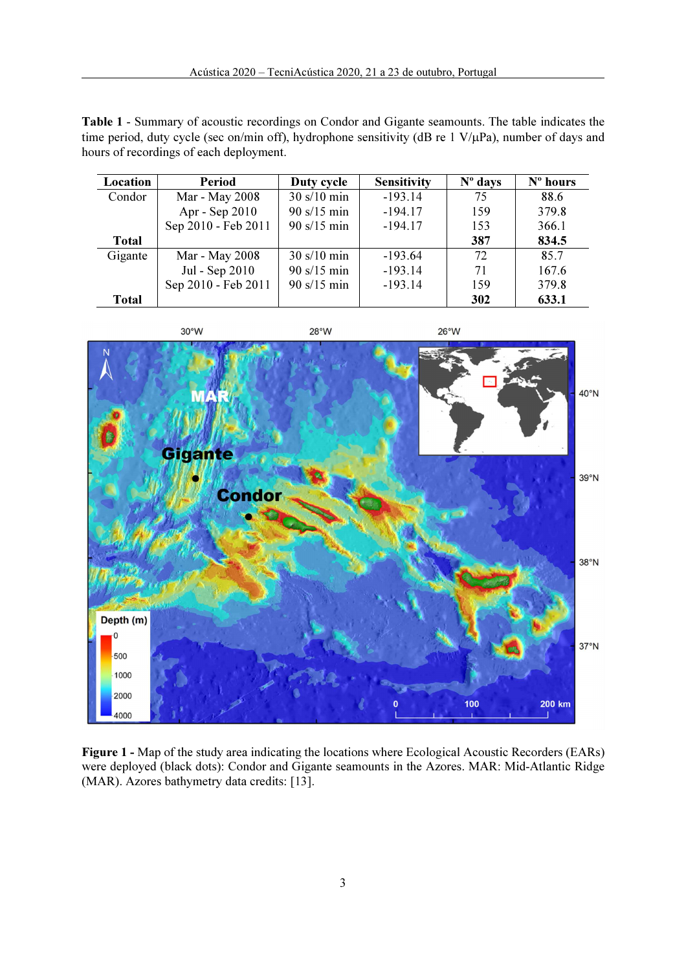Table 1 - Summary of acoustic recordings on Condor and Gigante seamounts. The table indicates the time period, duty cycle (sec on/min off), hydrophone sensitivity (dB re 1 V/µPa), number of days and hours of recordings of each deployment.

| Location     | <b>Period</b>       | Duty cycle                   | <b>Sensitivity</b> | $No$ days | N° hours |
|--------------|---------------------|------------------------------|--------------------|-----------|----------|
| Condor       | Mar - May 2008      | $30 \frac{\text{s}}{10}$ min | $-193.14$          | 75        | 88.6     |
|              | Apr - Sep 2010      | $90 \frac{\text{s}}{15}$ min | $-194.17$          | 159       | 379.8    |
|              | Sep 2010 - Feb 2011 | $90 \frac{\text{s}}{15}$ min | $-194.17$          | 153       | 366.1    |
| <b>Total</b> |                     |                              |                    | 387       | 834.5    |
| Gigante      | Mar - May 2008      | $30 \frac{\text{s}}{10}$ min | $-193.64$          | 72        | 85.7     |
|              | Jul - Sep 2010      | $90 \frac{\text{s}}{15}$ min | $-193.14$          | 71        | 167.6    |
|              | Sep 2010 - Feb 2011 | $90 \frac{\text{s}}{15}$ min | $-193.14$          | 159       | 379.8    |
| <b>Total</b> |                     |                              |                    | 302       | 633.1    |



Figure 1 - Map of the study area indicating the locations where Ecological Acoustic Recorders (EARs) were deployed (black dots): Condor and Gigante seamounts in the Azores. MAR: Mid-Atlantic Ridge (MAR). Azores bathymetry data credits: [13].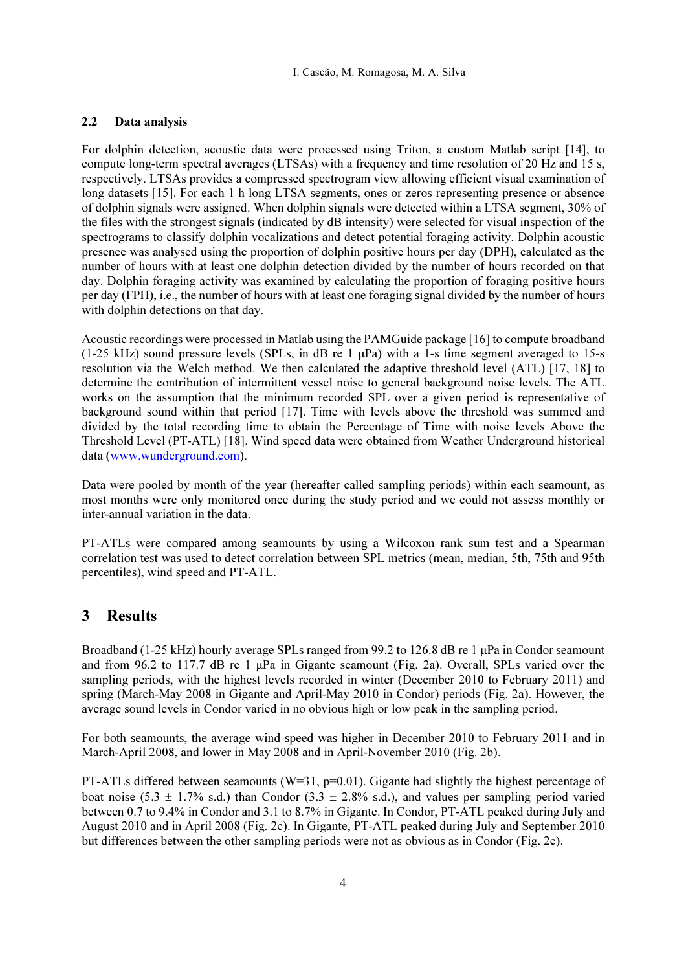#### 2.2 Data analysis

For dolphin detection, acoustic data were processed using Triton, a custom Matlab script [14], to compute long-term spectral averages (LTSAs) with a frequency and time resolution of 20 Hz and 15 s, respectively. LTSAs provides a compressed spectrogram view allowing efficient visual examination of long datasets [15]. For each 1 h long LTSA segments, ones or zeros representing presence or absence of dolphin signals were assigned. When dolphin signals were detected within a LTSA segment, 30% of the files with the strongest signals (indicated by dB intensity) were selected for visual inspection of the spectrograms to classify dolphin vocalizations and detect potential foraging activity. Dolphin acoustic presence was analysed using the proportion of dolphin positive hours per day (DPH), calculated as the number of hours with at least one dolphin detection divided by the number of hours recorded on that day. Dolphin foraging activity was examined by calculating the proportion of foraging positive hours per day (FPH), i.e., the number of hours with at least one foraging signal divided by the number of hours with dolphin detections on that day.

Acoustic recordings were processed in Matlab using the PAMGuide package [16] to compute broadband (1-25 kHz) sound pressure levels (SPLs, in dB re 1 μPa) with a 1-s time segment averaged to 15-s resolution via the Welch method. We then calculated the adaptive threshold level (ATL) [17, 18] to determine the contribution of intermittent vessel noise to general background noise levels. The ATL works on the assumption that the minimum recorded SPL over a given period is representative of background sound within that period [17]. Time with levels above the threshold was summed and divided by the total recording time to obtain the Percentage of Time with noise levels Above the Threshold Level (PT-ATL) [18]. Wind speed data were obtained from Weather Underground historical data (www.wunderground.com).

Data were pooled by month of the year (hereafter called sampling periods) within each seamount, as most months were only monitored once during the study period and we could not assess monthly or inter-annual variation in the data.

PT-ATLs were compared among seamounts by using a Wilcoxon rank sum test and a Spearman correlation test was used to detect correlation between SPL metrics (mean, median, 5th, 75th and 95th percentiles), wind speed and PT-ATL.

### 3 Results

Broadband (1-25 kHz) hourly average SPLs ranged from 99.2 to 126.8 dB re 1 μPa in Condor seamount and from 96.2 to 117.7 dB re 1 μPa in Gigante seamount (Fig. 2a). Overall, SPLs varied over the sampling periods, with the highest levels recorded in winter (December 2010 to February 2011) and spring (March-May 2008 in Gigante and April-May 2010 in Condor) periods (Fig. 2a). However, the average sound levels in Condor varied in no obvious high or low peak in the sampling period.

For both seamounts, the average wind speed was higher in December 2010 to February 2011 and in March-April 2008, and lower in May 2008 and in April-November 2010 (Fig. 2b).

PT-ATLs differed between seamounts ( $W=31$ ,  $p=0.01$ ). Gigante had slightly the highest percentage of boat noise (5.3  $\pm$  1.7% s.d.) than Condor (3.3  $\pm$  2.8% s.d.), and values per sampling period varied between 0.7 to 9.4% in Condor and 3.1 to 8.7% in Gigante. In Condor, PT-ATL peaked during July and August 2010 and in April 2008 (Fig. 2c). In Gigante, PT-ATL peaked during July and September 2010 but differences between the other sampling periods were not as obvious as in Condor (Fig. 2c).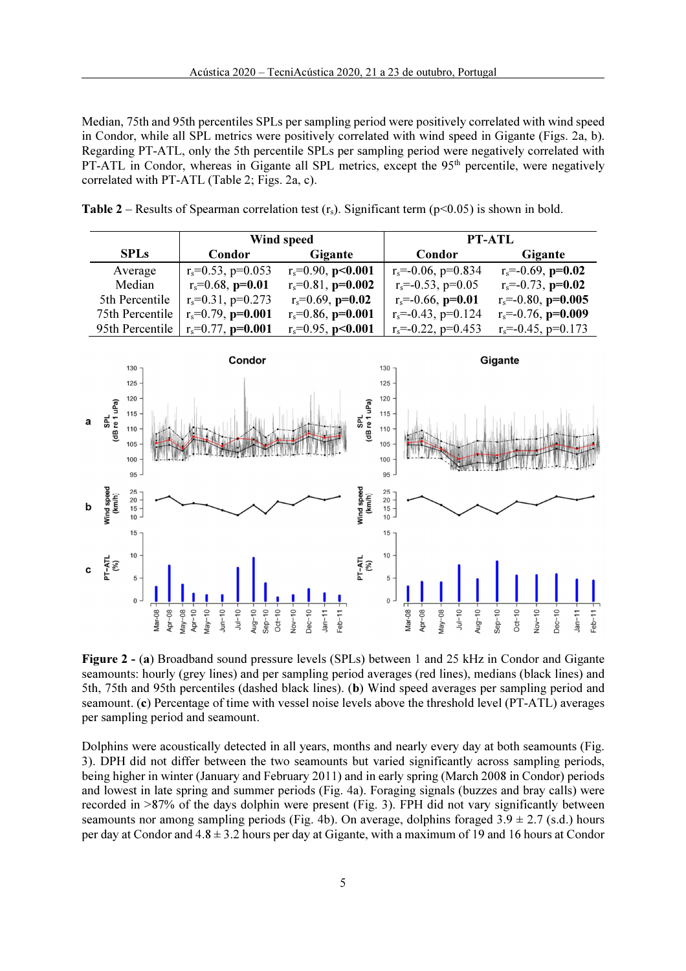Median, 75th and 95th percentiles SPLs per sampling period were positively correlated with wind speed in Condor, while all SPL metrics were positively correlated with wind speed in Gigante (Figs. 2a, b). Regarding PT-ATL, only the 5th percentile SPLs per sampling period were negatively correlated with PT-ATL in Condor, whereas in Gigante all SPL metrics, except the  $95<sup>th</sup>$  percentile, were negatively correlated with PT-ATL (Table 2; Figs. 2a, c).

|                 |                            | Wind speed                 | PT-ATL                      |                             |  |
|-----------------|----------------------------|----------------------------|-----------------------------|-----------------------------|--|
| <b>SPLs</b>     | <b>Condor</b>              | Gigante                    | <b>Condor</b>               | Gigante                     |  |
| Average         | $r_s = 0.53$ , p=0.053     | $r_s = 0.90$ , p<0.001     | $r_s = -0.06$ , $p = 0.834$ | $r_s = -0.69$ , $p = 0.02$  |  |
| Median          | $r_s = 0.68$ , $p = 0.01$  | $r_s = 0.81$ , $p = 0.002$ | $r_s = -0.53$ , $p = 0.05$  | $r_s = -0.73$ , $p = 0.02$  |  |
| 5th Percentile  | $r_s = 0.31$ , $p = 0.273$ | $r_s = 0.69$ , $p=0.02$    | $r_s = -0.66$ , $p = 0.01$  | $r_s = -0.80$ , $p = 0.005$ |  |
| 75th Percentile | $r_s = 0.79$ , $p = 0.001$ | $r_s = 0.86$ , $p = 0.001$ | $r_s = -0.43$ , $p = 0.124$ | $r_s = -0.76$ , $p = 0.009$ |  |
| 95th Percentile | $r_s = 0.77$ , p=0.001     | $r_s = 0.95$ , p<0.001     | $r_s = -0.22$ , $p = 0.453$ | $r_s = -0.45$ , $p = 0.173$ |  |

**Table 2** – Results of Spearman correlation test  $(r<sub>s</sub>)$ . Significant term ( $p<0.05$ ) is shown in bold.



Figure 2 - (a) Broadband sound pressure levels (SPLs) between 1 and 25 kHz in Condor and Gigante seamounts: hourly (grey lines) and per sampling period averages (red lines), medians (black lines) and 5th, 75th and 95th percentiles (dashed black lines). (b) Wind speed averages per sampling period and seamount. (c) Percentage of time with vessel noise levels above the threshold level (PT-ATL) averages per sampling period and seamount.

Dolphins were acoustically detected in all years, months and nearly every day at both seamounts (Fig. 3). DPH did not differ between the two seamounts but varied significantly across sampling periods, being higher in winter (January and February 2011) and in early spring (March 2008 in Condor) periods and lowest in late spring and summer periods (Fig. 4a). Foraging signals (buzzes and bray calls) were recorded in >87% of the days dolphin were present (Fig. 3). FPH did not vary significantly between seamounts nor among sampling periods (Fig. 4b). On average, dolphins foraged  $3.9 \pm 2.7$  (s.d.) hours per day at Condor and 4.8 ± 3.2 hours per day at Gigante, with a maximum of 19 and 16 hours at Condor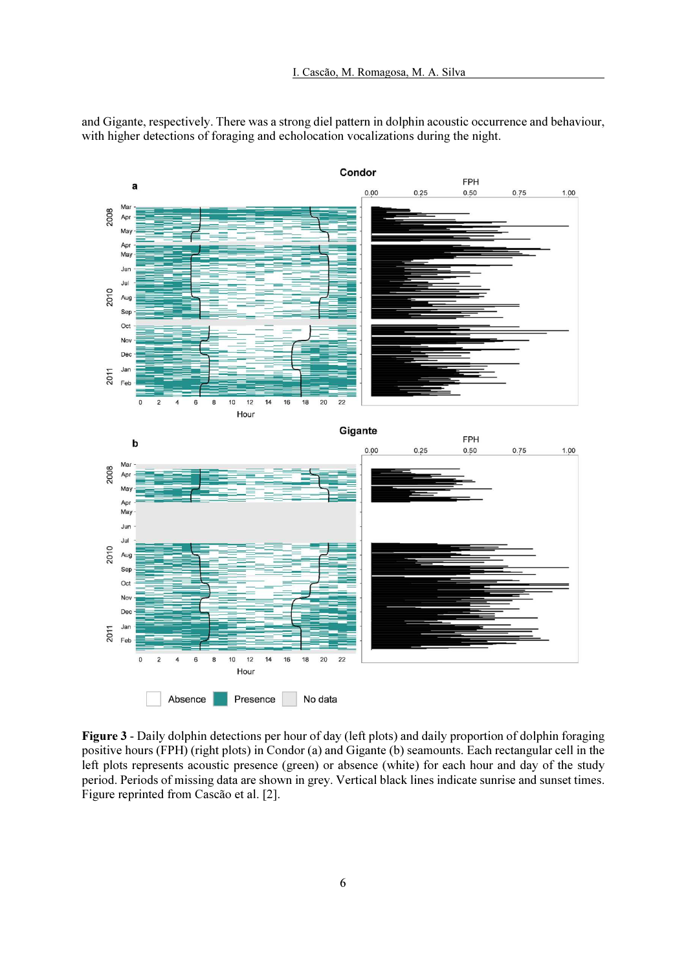and Gigante, respectively. There was a strong diel pattern in dolphin acoustic occurrence and behaviour, with higher detections of foraging and echolocation vocalizations during the night.



Figure 3 - Daily dolphin detections per hour of day (left plots) and daily proportion of dolphin foraging positive hours (FPH) (right plots) in Condor (a) and Gigante (b) seamounts. Each rectangular cell in the left plots represents acoustic presence (green) or absence (white) for each hour and day of the study period. Periods of missing data are shown in grey. Vertical black lines indicate sunrise and sunset times. Figure reprinted from Cascão et al. [2].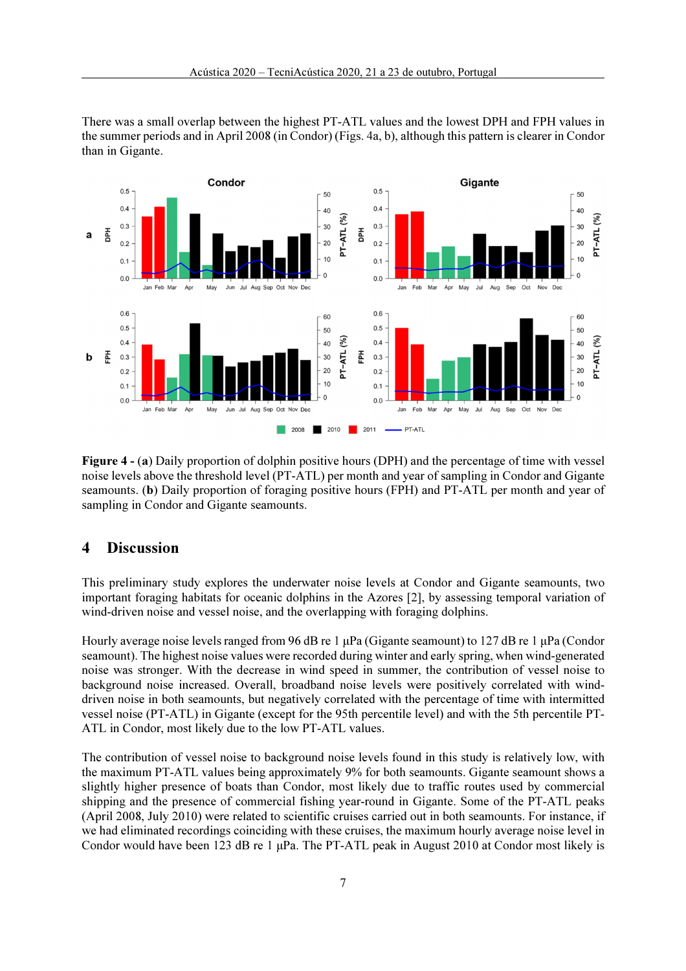

There was a small overlap between the highest PT-ATL values and the lowest DPH and FPH values in the summer periods and in April 2008 (in Condor) (Figs. 4a, b), although this pattern is clearer in Condor than in Gigante.

Figure 4 - (a) Daily proportion of dolphin positive hours (DPH) and the percentage of time with vessel noise levels above the threshold level (PT-ATL) per month and year of sampling in Condor and Gigante seamounts. (b) Daily proportion of foraging positive hours (FPH) and PT-ATL per month and year of sampling in Condor and Gigante seamounts.

### 4 Discussion

This preliminary study explores the underwater noise levels at Condor and Gigante seamounts, two important foraging habitats for oceanic dolphins in the Azores [2], by assessing temporal variation of wind-driven noise and vessel noise, and the overlapping with foraging dolphins.

Hourly average noise levels ranged from 96 dB re 1 μPa (Gigante seamount) to 127 dB re 1 μPa (Condor seamount). The highest noise values were recorded during winter and early spring, when wind-generated noise was stronger. With the decrease in wind speed in summer, the contribution of vessel noise to background noise increased. Overall, broadband noise levels were positively correlated with winddriven noise in both seamounts, but negatively correlated with the percentage of time with intermitted vessel noise (PT-ATL) in Gigante (except for the 95th percentile level) and with the 5th percentile PT-ATL in Condor, most likely due to the low PT-ATL values.

The contribution of vessel noise to background noise levels found in this study is relatively low, with the maximum PT-ATL values being approximately 9% for both seamounts. Gigante seamount shows a slightly higher presence of boats than Condor, most likely due to traffic routes used by commercial shipping and the presence of commercial fishing year-round in Gigante. Some of the PT-ATL peaks (April 2008, July 2010) were related to scientific cruises carried out in both seamounts. For instance, if we had eliminated recordings coinciding with these cruises, the maximum hourly average noise level in Condor would have been 123 dB re 1  $\mu$ Pa. The PT-ATL peak in August 2010 at Condor most likely is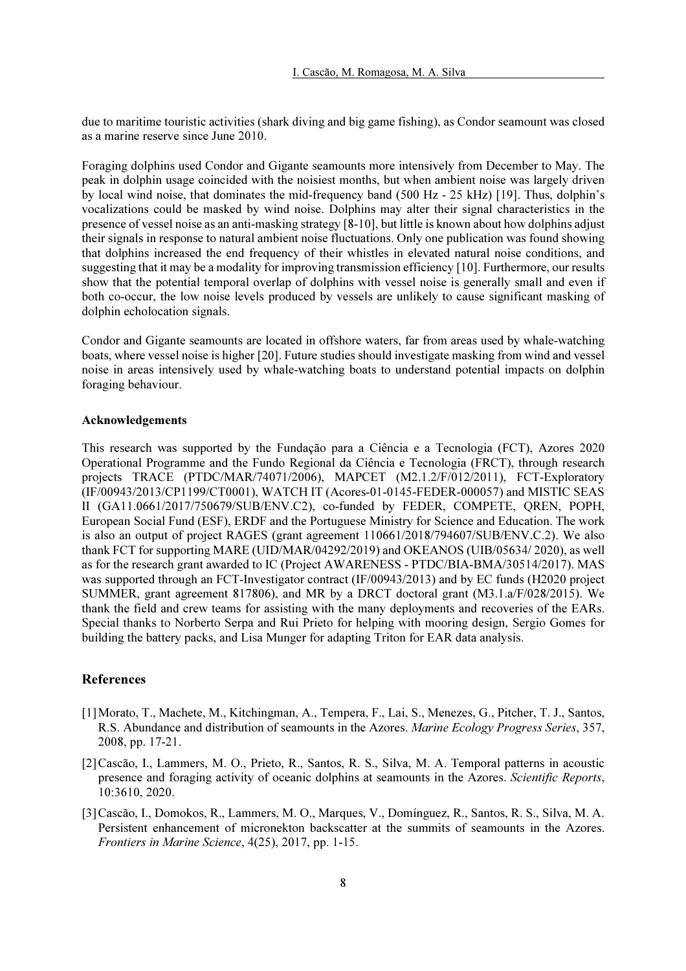due to maritime touristic activities (shark diving and big game fishing), as Condor seamount was closed as a marine reserve since June 2010.

Foraging dolphins used Condor and Gigante seamounts more intensively from December to May. The peak in dolphin usage coincided with the noisiest months, but when ambient noise was largely driven by local wind noise, that dominates the mid-frequency band (500 Hz - 25 kHz) [19]. Thus, dolphin's vocalizations could be masked by wind noise. Dolphins may alter their signal characteristics in the presence of vessel noise as an anti-masking strategy [8-10], but little is known about how dolphins adjust their signals in response to natural ambient noise fluctuations. Only one publication was found showing that dolphins increased the end frequency of their whistles in elevated natural noise conditions, and suggesting that it may be a modality for improving transmission efficiency [10]. Furthermore, our results show that the potential temporal overlap of dolphins with vessel noise is generally small and even if both co-occur, the low noise levels produced by vessels are unlikely to cause significant masking of dolphin echolocation signals.

Condor and Gigante seamounts are located in offshore waters, far from areas used by whale-watching boats, where vessel noise is higher [20]. Future studies should investigate masking from wind and vessel noise in areas intensively used by whale-watching boats to understand potential impacts on dolphin foraging behaviour.

#### Acknowledgements

This research was supported by the Fundação para a Ciência e a Tecnologia (FCT), Azores 2020 Operational Programme and the Fundo Regional da Ciência e Tecnologia (FRCT), through research projects TRACE (PTDC/MAR/74071/2006), MAPCET (M2.1.2/F/012/2011), FCT-Exploratory (IF/00943/2013/CP1199/CT0001), WATCH IT (Acores-01-0145-FEDER-000057) and MISTIC SEAS II (GA11.0661/2017/750679/SUB/ENV.C2), co-funded by FEDER, COMPETE, QREN, POPH, European Social Fund (ESF), ERDF and the Portuguese Ministry for Science and Education. The work is also an output of project RAGES (grant agreement 110661/2018/794607/SUB/ENV.C.2). We also thank FCT for supporting MARE (UID/MAR/04292/2019) and OKEANOS (UIB/05634/ 2020), as well as for the research grant awarded to IC (Project AWARENESS - PTDC/BIA-BMA/30514/2017). MAS was supported through an FCT-Investigator contract (IF/00943/2013) and by EC funds (H2020 project SUMMER, grant agreement 817806), and MR by a DRCT doctoral grant (M3.1.a/F/028/2015). We thank the field and crew teams for assisting with the many deployments and recoveries of the EARs. Special thanks to Norberto Serpa and Rui Prieto for helping with mooring design, Sergio Gomes for building the battery packs, and Lisa Munger for adapting Triton for EAR data analysis.

#### References

- [1]Morato, T., Machete, M., Kitchingman, A., Tempera, F., Lai, S., Menezes, G., Pitcher, T. J., Santos, R.S. Abundance and distribution of seamounts in the Azores. Marine Ecology Progress Series, 357, 2008, pp. 17-21.
- [2]Cascão, I., Lammers, M. O., Prieto, R., Santos, R. S., Silva, M. A. Temporal patterns in acoustic presence and foraging activity of oceanic dolphins at seamounts in the Azores. Scientific Reports, 10:3610, 2020.
- [3]Cascão, I., Domokos, R., Lammers, M. O., Marques, V., Domínguez, R., Santos, R. S., Silva, M. A. Persistent enhancement of micronekton backscatter at the summits of seamounts in the Azores. Frontiers in Marine Science, 4(25), 2017, pp. 1-15.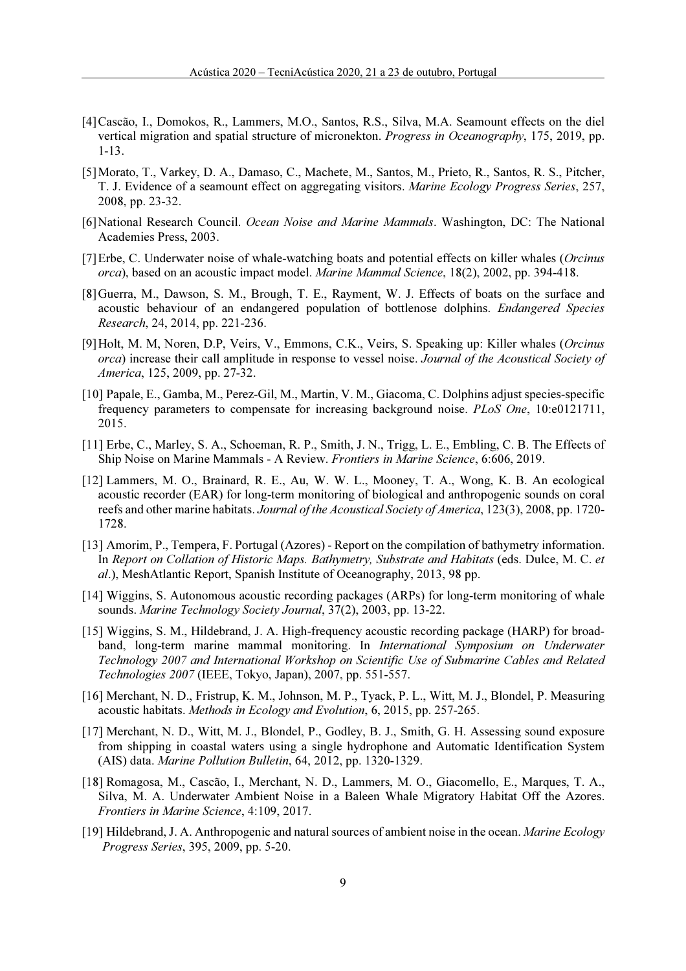- [4]Cascão, I., Domokos, R., Lammers, M.O., Santos, R.S., Silva, M.A. Seamount effects on the diel vertical migration and spatial structure of micronekton. *Progress in Oceanography*, 175, 2019, pp. 1-13.
- [5]Morato, T., Varkey, D. A., Damaso, C., Machete, M., Santos, M., Prieto, R., Santos, R. S., Pitcher, T. J. Evidence of a seamount effect on aggregating visitors. Marine Ecology Progress Series, 257, 2008, pp. 23-32.
- [6]National Research Council. Ocean Noise and Marine Mammals. Washington, DC: The National Academies Press, 2003.
- [7] Erbe, C. Underwater noise of whale-watching boats and potential effects on killer whales (Orcinus orca), based on an acoustic impact model. Marine Mammal Science, 18(2), 2002, pp. 394-418.
- [8]Guerra, M., Dawson, S. M., Brough, T. E., Rayment, W. J. Effects of boats on the surface and acoustic behaviour of an endangered population of bottlenose dolphins. Endangered Species Research, 24, 2014, pp. 221-236.
- [9]Holt, M. M, Noren, D.P, Veirs, V., Emmons, C.K., Veirs, S. Speaking up: Killer whales (Orcinus orca) increase their call amplitude in response to vessel noise. Journal of the Acoustical Society of America, 125, 2009, pp. 27-32.
- [10] Papale, E., Gamba, M., Perez-Gil, M., Martin, V. M., Giacoma, C. Dolphins adjust species-specific frequency parameters to compensate for increasing background noise. PLoS One, 10:e0121711, 2015.
- [11] Erbe, C., Marley, S. A., Schoeman, R. P., Smith, J. N., Trigg, L. E., Embling, C. B. The Effects of Ship Noise on Marine Mammals - A Review. Frontiers in Marine Science, 6:606, 2019.
- [12] Lammers, M. O., Brainard, R. E., Au, W. W. L., Mooney, T. A., Wong, K. B. An ecological acoustic recorder (EAR) for long-term monitoring of biological and anthropogenic sounds on coral reefs and other marine habitats. Journal of the Acoustical Society of America, 123(3), 2008, pp. 1720- 1728.
- [13] Amorim, P., Tempera, F. Portugal (Azores) Report on the compilation of bathymetry information. In Report on Collation of Historic Maps. Bathymetry, Substrate and Habitats (eds. Dulce, M. C. et al.), MeshAtlantic Report, Spanish Institute of Oceanography, 2013, 98 pp.
- [14] Wiggins, S. Autonomous acoustic recording packages (ARPs) for long-term monitoring of whale sounds. Marine Technology Society Journal, 37(2), 2003, pp. 13-22.
- [15] Wiggins, S. M., Hildebrand, J. A. High-frequency acoustic recording package (HARP) for broadband, long-term marine mammal monitoring. In International Symposium on Underwater Technology 2007 and International Workshop on Scientific Use of Submarine Cables and Related Technologies 2007 (IEEE, Tokyo, Japan), 2007, pp. 551-557.
- [16] Merchant, N. D., Fristrup, K. M., Johnson, M. P., Tyack, P. L., Witt, M. J., Blondel, P. Measuring acoustic habitats. Methods in Ecology and Evolution, 6, 2015, pp. 257-265.
- [17] Merchant, N. D., Witt, M. J., Blondel, P., Godley, B. J., Smith, G. H. Assessing sound exposure from shipping in coastal waters using a single hydrophone and Automatic Identification System (AIS) data. Marine Pollution Bulletin, 64, 2012, pp. 1320-1329.
- [18] Romagosa, M., Cascão, I., Merchant, N. D., Lammers, M. O., Giacomello, E., Marques, T. A., Silva, M. A. Underwater Ambient Noise in a Baleen Whale Migratory Habitat Off the Azores. Frontiers in Marine Science, 4:109, 2017.
- [19] Hildebrand, J. A. Anthropogenic and natural sources of ambient noise in the ocean. Marine Ecology Progress Series, 395, 2009, pp. 5-20.